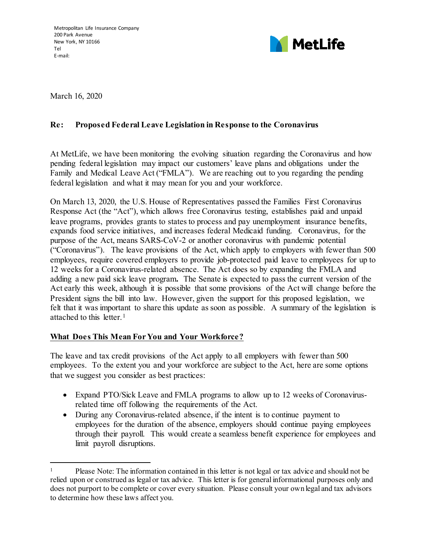

March 16, 2020

 $\overline{a}$ 

## **Re: Proposed Federal Leave Legislation in Response to the Coronavirus**

At MetLife, we have been monitoring the evolving situation regarding the Coronavirus and how pending federal legislation may impact our customers' leave plans and obligations under the Family and Medical Leave Act ("FMLA"). We are reaching out to you regarding the pending federal legislation and what it may mean for you and your workforce.

On March 13, 2020, the U.S. House of Representatives passed the Families First Coronavirus Response Act (the "Act"), which allows free Coronavirus testing, establishes paid and unpaid leave programs, provides grants to states to process and pay unemployment insurance benefits, expands food service initiatives, and increases federal Medicaid funding. Coronavirus, for the purpose of the Act, means SARS-CoV-2 or another coronavirus with pandemic potential ("Coronavirus"). The leave provisions of the Act, which apply to employers with fewer than 500 employees, require covered employers to provide job-protected paid leave to employees for up to 12 weeks for a Coronavirus-related absence. The Act does so by expanding the FMLA and adding a new paid sick leave program**.** The Senate is expected to pass the current version of the Act early this week, although it is possible that some provisions of the Act will change before the President signs the bill into law. However, given the support for this proposed legislation, we felt that it was important to share this update as soon as possible. A summary of the legislation is attached to this letter.[1](#page-0-0)

## **What Does This Mean For You and Your Workforce?**

The leave and tax credit provisions of the Act apply to all employers with fewer than 500 employees. To the extent you and your workforce are subject to the Act, here are some options that we suggest you consider as best practices:

- Expand PTO/Sick Leave and FMLA programs to allow up to 12 weeks of Coronavirusrelated time off following the requirements of the Act.
- During any Coronavirus-related absence, if the intent is to continue payment to employees for the duration of the absence, employers should continue paying employees through their payroll. This would create a seamless benefit experience for employees and limit payroll disruptions.

<span id="page-0-0"></span><sup>&</sup>lt;sup>1</sup> Please Note: The information contained in this letter is not legal or tax advice and should not be relied upon or construed as legal or tax advice. This letter is for general informational purposes only and does not purport to be complete or cover every situation. Please consult your own legal and tax advisors to determine how these laws affect you.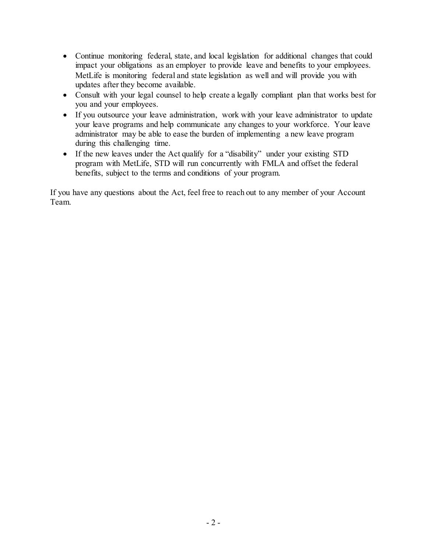- Continue monitoring federal, state, and local legislation for additional changes that could impact your obligations as an employer to provide leave and benefits to your employees. MetLife is monitoring federal and state legislation as well and will provide you with updates after they become available.
- Consult with your legal counsel to help create a legally compliant plan that works best for you and your employees.
- If you outsource your leave administration, work with your leave administrator to update your leave programs and help communicate any changes to your workforce. Your leave administrator may be able to ease the burden of implementing a new leave program during this challenging time.
- If the new leaves under the Act qualify for a "disability" under your existing STD program with MetLife, STD will run concurrently with FMLA and offset the federal benefits, subject to the terms and conditions of your program.

If you have any questions about the Act, feel free to reach out to any member of your Account Team.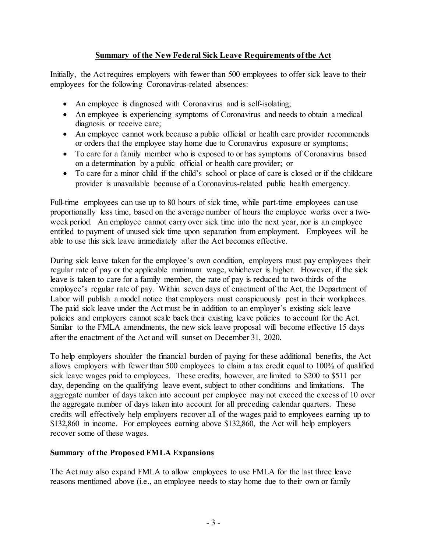## **Summary of the New Federal Sick Leave Requirements of the Act**

Initially, the Act requires employers with fewer than 500 employees to offer sick leave to their employees for the following Coronavirus-related absences:

- An employee is diagnosed with Coronavirus and is self-isolating;
- An employee is experiencing symptoms of Coronavirus and needs to obtain a medical diagnosis or receive care;
- An employee cannot work because a public official or health care provider recommends or orders that the employee stay home due to Coronavirus exposure or symptoms;
- To care for a family member who is exposed to or has symptoms of Coronavirus based on a determination by a public official or health care provider; or
- To care for a minor child if the child's school or place of care is closed or if the childcare provider is unavailable because of a Coronavirus-related public health emergency.

Full-time employees can use up to 80 hours of sick time, while part-time employees can use proportionally less time, based on the average number of hours the employee works over a twoweek period. An employee cannot carry over sick time into the next year, nor is an employee entitled to payment of unused sick time upon separation from employment. Employees will be able to use this sick leave immediately after the Act becomes effective.

During sick leave taken for the employee's own condition, employers must pay employees their regular rate of pay or the applicable minimum wage, whichever is higher. However, if the sick leave is taken to care for a family member, the rate of pay is reduced to two-thirds of the employee's regular rate of pay. Within seven days of enactment of the Act, the Department of Labor will publish a model notice that employers must conspicuously post in their workplaces. The paid sick leave under the Act must be in addition to an employer's existing sick leave policies and employers cannot scale back their existing leave policies to account for the Act. Similar to the FMLA amendments, the new sick leave proposal will become effective 15 days after the enactment of the Act and will sunset on December 31, 2020.

To help employers shoulder the financial burden of paying for these additional benefits, the Act allows employers with fewer than 500 employees to claim a tax credit equal to 100% of qualified sick leave wages paid to employees. These credits, however, are limited to \$200 to \$511 per day, depending on the qualifying leave event, subject to other conditions and limitations. The aggregate number of days taken into account per employee may not exceed the excess of 10 over the aggregate number of days taken into account for all preceding calendar quarters. These credits will effectively help employers recover all of the wages paid to employees earning up to \$132,860 in income. For employees earning above \$132,860, the Act will help employers recover some of these wages.

## **Summary of the Proposed FMLA Expansions**

The Act may also expand FMLA to allow employees to use FMLA for the last three leave reasons mentioned above (i.e., an employee needs to stay home due to their own or family